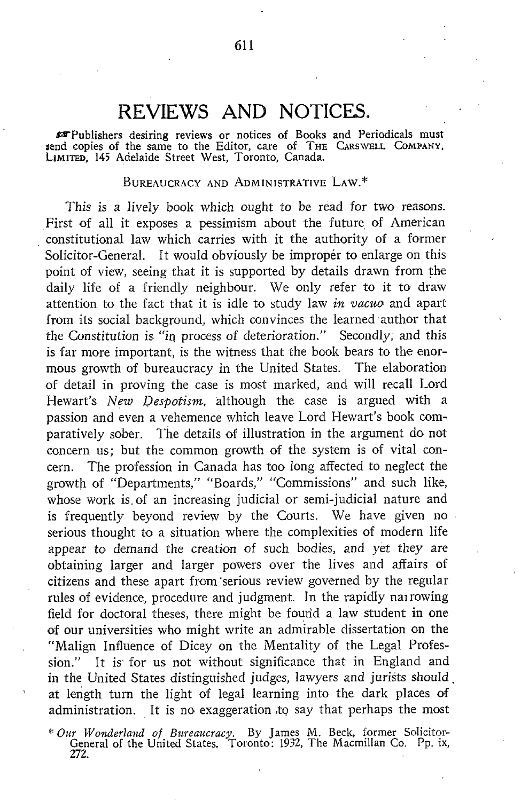## REVIEWS AND NOTICES,

Publishers desiring reviews or notices of Books and Periodicals must send copies of the same to the Editor, care of THE CARSWELL COMPANY. LIMITED, 145 Adelaide Street West, Toronto, Canada.

## BUREAUCRACY AND ADMINISTRATIVE LAW. \*

This is a lively book which ought to be read for two reasons. First of all it exposes a pessimism about the future of American constitutional law which carries with it the authority of a former Solicitor-General. It would obviously be improper to enlarge on this point of view, seeing that it is supported by details drawn from the daily life of <sup>a</sup> friendly neighbour. We only refer to it to draw attention to the fact that it is idle to study law *in vacuo* and apart from its social background, which convinces the learned author that the Constitution is "in, process of deterioration ." Secondly; and this is far more important, is the witness that the book bears to the enormous growth of bureaucracy in the United States. The elaboration of detail in proving the case is most marked, and will recall Lord Hewart's *New Despotism*, although the case is argued with a passion and even <sup>a</sup> vehemence which leave Lord Hewart's book comparatively sober. The details of illustration in the argument do not concern us; but the common growth of the system is of vital concern. The profession in Canada has too long affected to neglect the growth of "Departments," "Boards," "Commissions" and such like, whose work is of an increasing judicial or semi-judicial nature and is frequently beyond review by the Courts. We have given no serious thought to a situation where the complexities of modern life appear to demand the creation of such bodies, and yet they are obtaining larger and larger powers over the lives and affairs of citizens and these apart from 'serious review governed by the regular rules of evidence, procedure and judgment. In the rapidly narrowing field for doctoral theses, there might be found a law student in one of our universities who might write an admirable dissertation on the "Malign Influence of Dicey on the Mentality of the Legal Profession." It is for us not without significance that in England and in the United States distinguished judges, lawyers and jurists should . at length turn the light of legal learning into the dark places of administration. It is no exaggeration to say that perhaps the most

<sup>4</sup>'Our Wonderland of Bureaucracy. By James M . Beck, former Solicitor-General of the United States. Toronto : 1932, The Macmillan Co. Pp. ix, 272.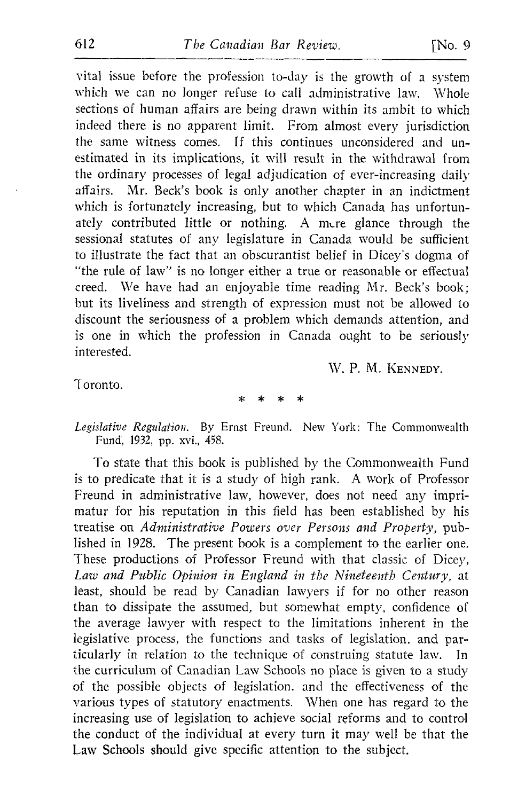vital issue before the profession to-day is the growth of a system which we can no longer refuse to call administrative law. Whole sections of human affairs are being drawn within its ambit to which indeed there is no apparent limit. From almost every jurisdiction the same witness comes. If this continues unconsidered and unestimated in its implications, it will result in the withdrawal from the ordinary processes of legal adjudication of ever-increasing daily<br>affairs. Mr. Beck's book is only another chapter in an indictment Mr. Beck's book is only another chapter in an indictment which is fortunately increasing, but to which Canada has unfortunately contributed little or nothing. A mere glance through the sessional statutes of any legislature in Canada would be sufficient to illustrate the fact that an obscurantist belief in Dicey's dogma of "the rule of law" is no longer either a true or reasonable or effectual creed. We have had an enjoyable time reading Mr. Beck's book; but its liveliness and strength of expression must not be allowed to discount the seriousness of a problem which demands attention, and is one in which the profession in Canada ought to be seriously interested.

W. P. M. KENNEDY.

Toronto.

Legislative Regulation. By Ernst Freund. New York: The Commonwealth Fund, 1932, pp. xvi., 458.

To state that this book is published by the Commonwealth Fund is to predicate that it is <sup>a</sup> study of high rank. A work of Professor Freund in administrative law, however, does not need any imprimatur for his reputation in this field has been established by his treatise on Administrative Powers over Persons and Property, published in 1929. The present book is a complement to the earlier one. These productions of Professor Freund with that classic of Dicey, Law and Public Opinion in England in the Nineteenth Century, at least, should be read by Canadian lawyers if for no other reason than to dissipate the assumed, but somewhat empty, confidence of the average lawyer with respect to the limitations inherent in the legislative process, the functions and tasks of legislation, and par-<br>ticularly in relation to the technique of construing statute law. In ticularly in relation to the technique of construing statute law. the curriculum of Canadian Law Schools no place is given to <sup>a</sup> study of the possible objects of legislation, and the effectiveness of the various types of statutory enactments. When one has regard to the increasing use of legislation to achieve social reforms and to control the conduct of the individual at every turn it may well be that the Law Schools should give specific attention to the subject.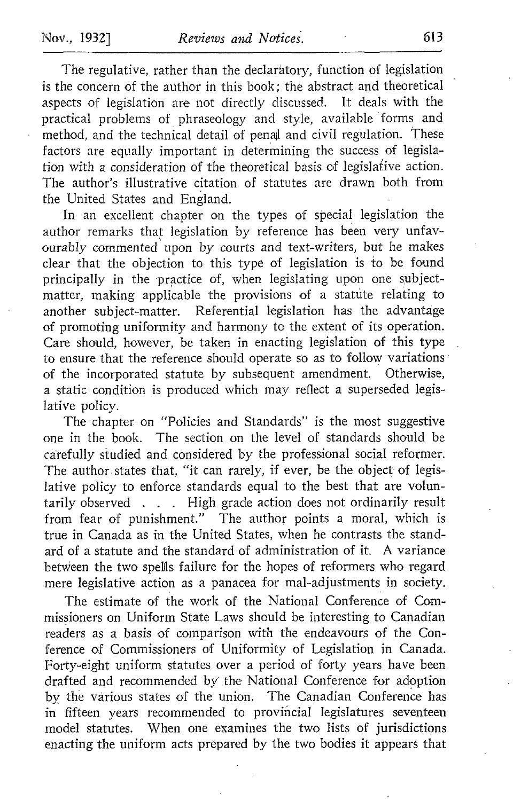The regulative, rather than the declaratory, function of legislation is the concern of the author in this book; the abstract and theoretical aspects of legislation are not directly discussed. It deals with the practical problems of phraseology and style, available forms and method, and the technical detail of penal and civil regulation. These factors are equally important in determining the success of legislation with a consideration of the theoretical basis of legislative action. The author's illustrative citation of statutes are drawn both from the United States and England.

In an excellent chapter on the types of special legislation the author remarks that legislation by reference has been very unfavourably commented upon by courts and text-writers, but he makes clear that the objection to, this type of legislation is to be found principally in the practice of, when legislating upon one subjectmatter, making applicable the provisions of a statute relating to another subject-matter. Referential legislation has the advantage of promoting uniformity and harmony to the extent of its operation. Care should, however, be taken in enacting legislation of this type to ensure that the reference should operate so as to follow variations of the incorporated statute by subsequent amendment. Otherwise, a static condition is produced which may reflect <sup>a</sup> superseded legislative policy.

The chapter on "Policies and Standards" is the most suggestive one in the book. The section on the level of standards should be carefully studied and considered by the professional social reformer. The author states that, "it can rarely, if ever, be the object of legislative policy to enforce standards equal to the best that are voluntarily observed . . . High grade action does not ordinarily result from fear of punishment." The author points a moral, which is true in Canada as in the United States, when he contrasts the stand ard of <sup>a</sup> statute and the standard of administration of it. A variance between the two spellls failure for the hopes of reformers who regard mere legislative action as a panacea for mal-adjustments in society.

The estimate of the work of the National Conference of Commissioners on Uniform State Laws should be interesting to Canadian readers as a basis of comparison with the endeavours of the Conference of Commissioners of Uniformity of Legislation in Canada. Forty-eight uniform statutes over a period of forty years have been drafted and recommended by the National Conference for adoption by the various states of the union. The Canadian Conference has in fifteen years recommended to provincial legislatures seventeen model statutes. When one examines the two lists of jurisdictions enacting the uniform acts prepared by the two bodies it appears that